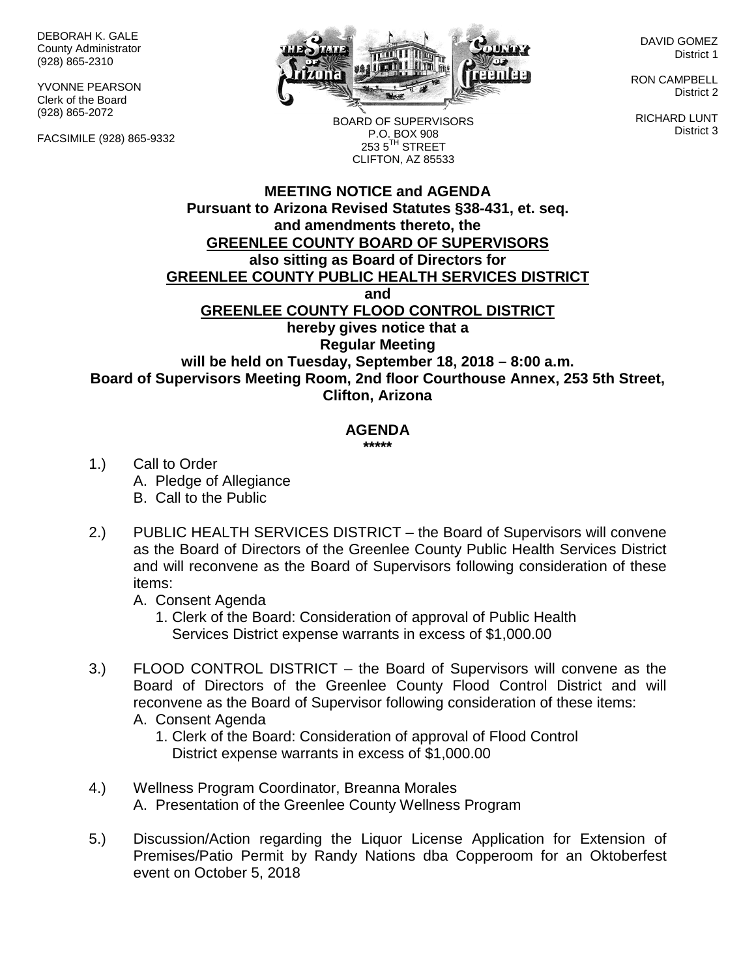DEBORAH K. GALE County Administrator (928) 865-2310

YVONNE PEARSON Clerk of the Board (928) 865-2072

FACSIMILE (928) 865-9332



DAVID GOMEZ District 1

RON CAMPBELL District 2

RICHARD LUNT District 3

BOARD OF SUPERVISORS P.O. BOX 908  $253.5$ <sup>TH</sup> STREET CLIFTON, AZ 85533

## **MEETING NOTICE and AGENDA Pursuant to Arizona Revised Statutes §38-431, et. seq. and amendments thereto, the GREENLEE COUNTY BOARD OF SUPERVISORS also sitting as Board of Directors for GREENLEE COUNTY PUBLIC HEALTH SERVICES DISTRICT and GREENLEE COUNTY FLOOD CONTROL DISTRICT hereby gives notice that a Regular Meeting will be held on Tuesday, September 18, 2018 – 8:00 a.m. Board of Supervisors Meeting Room, 2nd floor Courthouse Annex, 253 5th Street, Clifton, Arizona**

## **AGENDA**

**\*\*\*\*\***

- 1.) Call to Order A. Pledge of Allegiance B. Call to the Public
- 2.) PUBLIC HEALTH SERVICES DISTRICT the Board of Supervisors will convene as the Board of Directors of the Greenlee County Public Health Services District and will reconvene as the Board of Supervisors following consideration of these items:
	- A. Consent Agenda
		- 1. Clerk of the Board: Consideration of approval of Public Health Services District expense warrants in excess of \$1,000.00
- 3.) FLOOD CONTROL DISTRICT the Board of Supervisors will convene as the Board of Directors of the Greenlee County Flood Control District and will reconvene as the Board of Supervisor following consideration of these items:
	- A. Consent Agenda
		- 1. Clerk of the Board: Consideration of approval of Flood Control District expense warrants in excess of \$1,000.00
- 4.) Wellness Program Coordinator, Breanna Morales A. Presentation of the Greenlee County Wellness Program
- 5.) Discussion/Action regarding the Liquor License Application for Extension of Premises/Patio Permit by Randy Nations dba Copperoom for an Oktoberfest event on October 5, 2018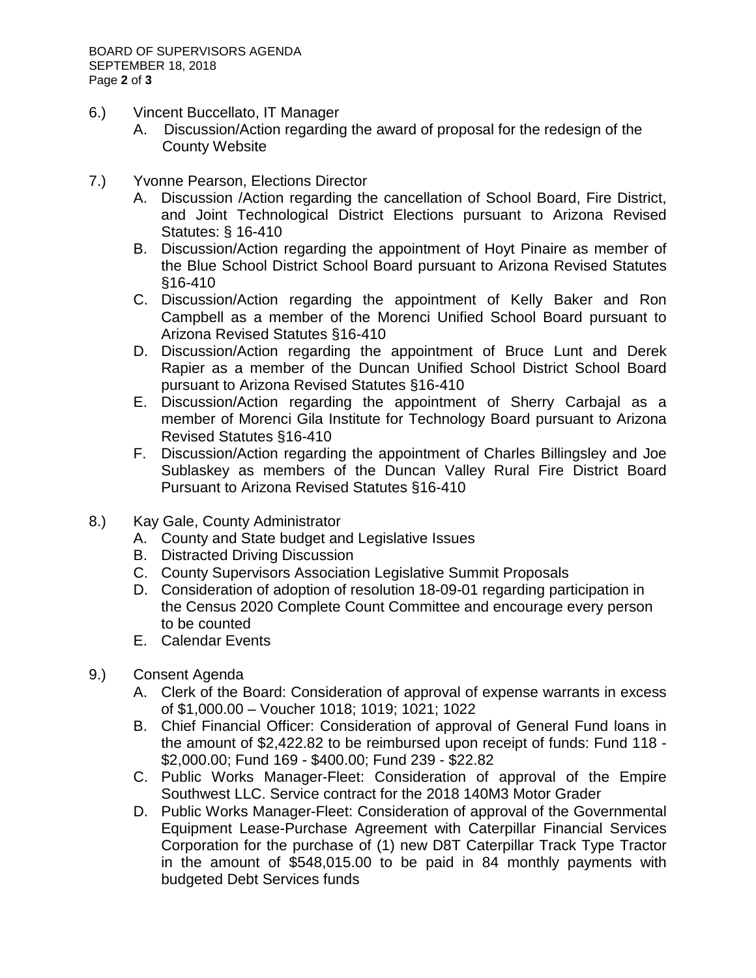- 6.) Vincent Buccellato, IT Manager
	- A. Discussion/Action regarding the award of proposal for the redesign of the County Website
- 7.) Yvonne Pearson, Elections Director
	- A. Discussion /Action regarding the cancellation of School Board, Fire District, and Joint Technological District Elections pursuant to Arizona Revised Statutes: § 16-410
	- B. Discussion/Action regarding the appointment of Hoyt Pinaire as member of the Blue School District School Board pursuant to Arizona Revised Statutes §16-410
	- C. Discussion/Action regarding the appointment of Kelly Baker and Ron Campbell as a member of the Morenci Unified School Board pursuant to Arizona Revised Statutes §16-410
	- D. Discussion/Action regarding the appointment of Bruce Lunt and Derek Rapier as a member of the Duncan Unified School District School Board pursuant to Arizona Revised Statutes §16-410
	- E. Discussion/Action regarding the appointment of Sherry Carbajal as a member of Morenci Gila Institute for Technology Board pursuant to Arizona Revised Statutes §16-410
	- F. Discussion/Action regarding the appointment of Charles Billingsley and Joe Sublaskey as members of the Duncan Valley Rural Fire District Board Pursuant to Arizona Revised Statutes §16-410
- 8.) Kay Gale, County Administrator
	- A. County and State budget and Legislative Issues
	- B. Distracted Driving Discussion
	- C. County Supervisors Association Legislative Summit Proposals
	- D. Consideration of adoption of resolution 18-09-01 regarding participation in the Census 2020 Complete Count Committee and encourage every person to be counted
	- E. Calendar Events
- 9.) Consent Agenda
	- A. Clerk of the Board: Consideration of approval of expense warrants in excess of \$1,000.00 – Voucher 1018; 1019; 1021; 1022
	- B. Chief Financial Officer: Consideration of approval of General Fund loans in the amount of \$2,422.82 to be reimbursed upon receipt of funds: Fund 118 - \$2,000.00; Fund 169 - \$400.00; Fund 239 - \$22.82
	- C. Public Works Manager-Fleet: Consideration of approval of the Empire Southwest LLC. Service contract for the 2018 140M3 Motor Grader
	- D. Public Works Manager-Fleet: Consideration of approval of the Governmental Equipment Lease-Purchase Agreement with Caterpillar Financial Services Corporation for the purchase of (1) new D8T Caterpillar Track Type Tractor in the amount of \$548,015.00 to be paid in 84 monthly payments with budgeted Debt Services funds